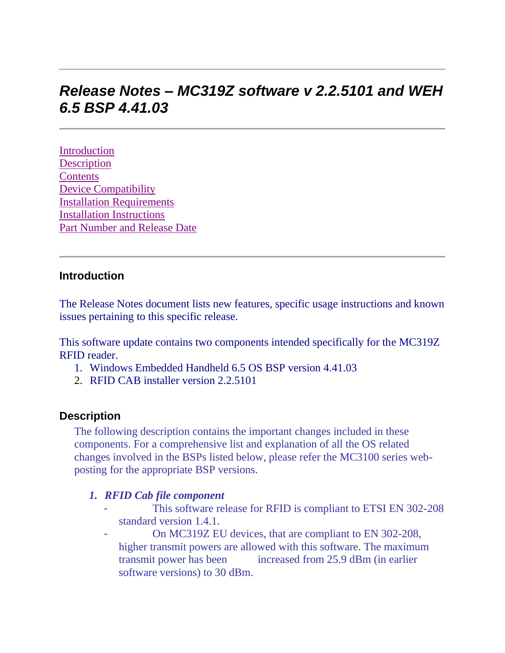# *Release Notes – MC319Z software v 2.2.5101 and WEH 6.5 BSP 4.41.03*

[Introduction](https://atgsupportcentral.motorolasolutions.com/content/emb/docs/ReleaseNotes/Release%20Notes%20-%20MC3190Z_v2.2.5101.htm#Introduction) **[Description](https://atgsupportcentral.motorolasolutions.com/content/emb/docs/ReleaseNotes/Release%20Notes%20-%20MC3190Z_v2.2.5101.htm#Description) [Contents](https://atgsupportcentral.motorolasolutions.com/content/emb/docs/ReleaseNotes/Release%20Notes%20-%20MC3190Z_v2.2.5101.htm#Contents)** [Device Compatibility](https://atgsupportcentral.motorolasolutions.com/content/emb/docs/ReleaseNotes/Release%20Notes%20-%20MC3190Z_v2.2.5101.htm#Compatibility_) [Installation Requirements](https://atgsupportcentral.motorolasolutions.com/content/emb/docs/ReleaseNotes/Release%20Notes%20-%20MC3190Z_v2.2.5101.htm#Installation_Requirements) [Installation Instructions](https://atgsupportcentral.motorolasolutions.com/content/emb/docs/ReleaseNotes/Release%20Notes%20-%20MC3190Z_v2.2.5101.htm#Installation_Instructions) [Part Number and Release Date](https://atgsupportcentral.motorolasolutions.com/content/emb/docs/ReleaseNotes/Release%20Notes%20-%20MC3190Z_v2.2.5101.htm#Document_Number_/_Revision_/_Release_Da)

#### **Introduction**

The Release Notes document lists new features, specific usage instructions and known issues pertaining to this specific release.

This software update contains two components intended specifically for the MC319Z RFID reader.

- 1. Windows Embedded Handheld 6.5 OS BSP version 4.41.03
- 2. RFID CAB installer version 2.2.5101

#### **Description**

The following description contains the important changes included in these components. For a comprehensive list and explanation of all the OS related changes involved in the BSPs listed below, please refer the MC3100 series webposting for the appropriate BSP versions.

#### *1. RFID Cab file component*

- This software release for RFID is compliant to ETSI EN 302-208 standard version 1.4.1.
- On MC319Z EU devices, that are compliant to EN 302-208, higher transmit powers are allowed with this software. The maximum transmit power has been increased from 25.9 dBm (in earlier software versions) to 30 dBm.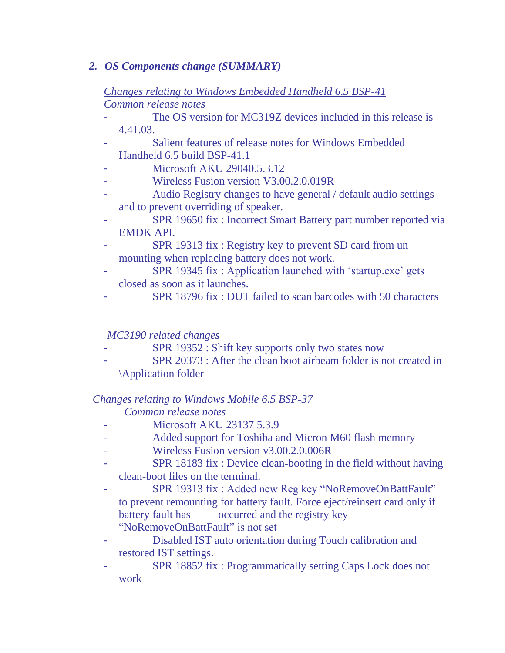## *2. OS Components change (SUMMARY)*

## *Changes relating to Windows Embedded Handheld 6.5 BSP-41 Common release notes*

- The OS version for MC319Z devices included in this release is 4.41.03.
- Salient features of release notes for Windows Embedded Handheld 6.5 build BSP-41.1
- Microsoft AKU 29040.5.3.12
- Wireless Fusion version V3.00.2.0.019R
- Audio Registry changes to have general / default audio settings and to prevent overriding of speaker.
- SPR 19650 fix : Incorrect Smart Battery part number reported via EMDK API.
- SPR 19313 fix : Registry key to prevent SD card from unmounting when replacing battery does not work.
- SPR 19345 fix : Application launched with 'startup.exe' gets closed as soon as it launches.
- SPR 18796 fix : DUT failed to scan barcodes with 50 characters

## *MC3190 related changes*

- SPR 19352 : Shift key supports only two states now
- SPR 20373 : After the clean boot airbeam folder is not created in \Application folder

## *Changes relating to Windows Mobile 6.5 BSP-37*

## *Common release notes*

- Microsoft AKU 23137 5.3.9
- Added support for Toshiba and Micron M60 flash memory
- Wireless Fusion version v3.00.2.0.006R
- SPR 18183 fix : Device clean-booting in the field without having clean-boot files on the terminal.
- SPR 19313 fix : Added new Reg key "NoRemoveOnBattFault" to prevent remounting for battery fault. Force eject/reinsert card only if battery fault has occurred and the registry key "NoRemoveOnBattFault" is not set
- Disabled IST auto orientation during Touch calibration and restored IST settings.
- SPR 18852 fix : Programmatically setting Caps Lock does not work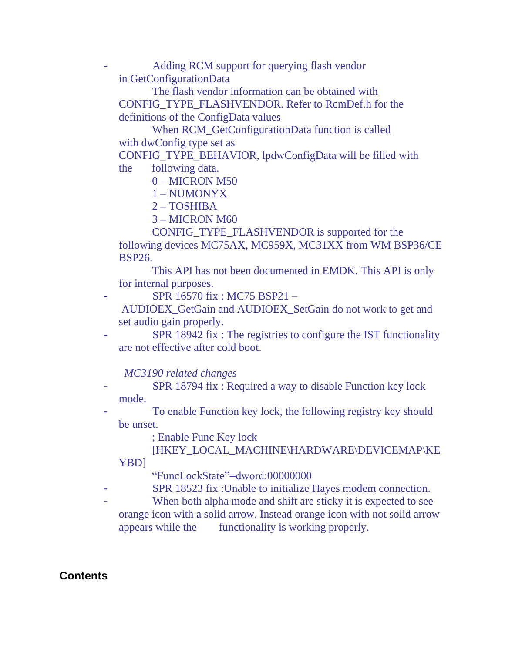- Adding RCM support for querying flash vendor in GetConfigurationData

 The flash vendor information can be obtained with CONFIG\_TYPE\_FLASHVENDOR. Refer to RcmDef.h for the definitions of the ConfigData values

 When RCM\_GetConfigurationData function is called with dwConfig type set as

CONFIG\_TYPE\_BEHAVIOR, lpdwConfigData will be filled with the following data.

0 – MICRON M50

1 – NUMONYX

2 – TOSHIBA

3 – MICRON M60

 CONFIG\_TYPE\_FLASHVENDOR is supported for the following devices MC75AX, MC959X, MC31XX from WM BSP36/CE BSP26.

 This API has not been documented in EMDK. This API is only for internal purposes.

SPR 16570 fix : MC75 BSP21 -

AUDIOEX\_GetGain and AUDIOEX\_SetGain do not work to get and set audio gain properly.

SPR 18942 fix : The registries to configure the IST functionality are not effective after cold boot.

 *MC3190 related changes*

- SPR 18794 fix : Required a way to disable Function key lock mode.

To enable Function key lock, the following registry key should be unset.

; Enable Func Key lock

 [HKEY\_LOCAL\_MACHINE\HARDWARE\DEVICEMAP\KE YBD]

"FuncLockState"=dword:00000000

- SPR 18523 fix : Unable to initialize Hayes modem connection.
- When both alpha mode and shift are sticky it is expected to see orange icon with a solid arrow. Instead orange icon with not solid arrow appears while the functionality is working properly.

# **Contents**